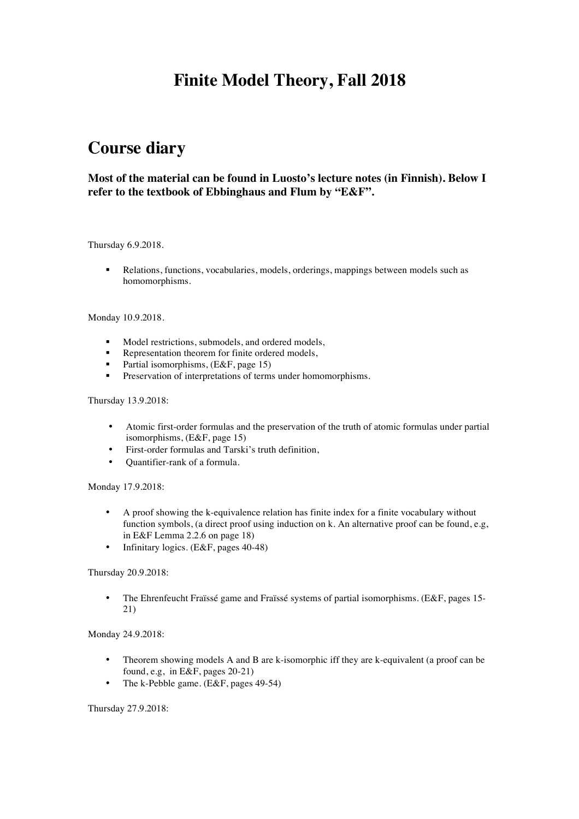# **Finite Model Theory, Fall 2018**

# **Course diary**

## **Most of the material can be found in Luosto's lecture notes (in Finnish). Below I refer to the textbook of Ebbinghaus and Flum by "E&F".**

#### Thursday 6.9.2018.

§ Relations, functions, vocabularies, models, orderings, mappings between models such as homomorphisms.

#### Monday 10.9.2018.

- § Model restrictions, submodels, and ordered models,
- Representation theorem for finite ordered models,
- § Partial isomorphisms, (E&F, page 15)
- **•** Preservation of interpretations of terms under homomorphisms.

#### Thursday 13.9.2018:

- Atomic first-order formulas and the preservation of the truth of atomic formulas under partial isomorphisms, (E&F, page 15)
- First-order formulas and Tarski's truth definition,
- Quantifier-rank of a formula.

#### Monday 17.9.2018:

- A proof showing the k-equivalence relation has finite index for a finite vocabulary without function symbols, (a direct proof using induction on k. An alternative proof can be found, e.g, in E&F Lemma 2.2.6 on page 18)
- Infinitary logics. (E&F, pages 40-48)

#### Thursday 20.9.2018:

• The Ehrenfeucht Fraïssé game and Fraïssé systems of partial isomorphisms. (E&F, pages 15-21)

#### Monday 24.9.2018:

- Theorem showing models A and B are k-isomorphic iff they are k-equivalent (a proof can be found, e.g, in E&F, pages 20-21)
- The k-Pebble game. (E&F, pages 49-54)

#### Thursday 27.9.2018: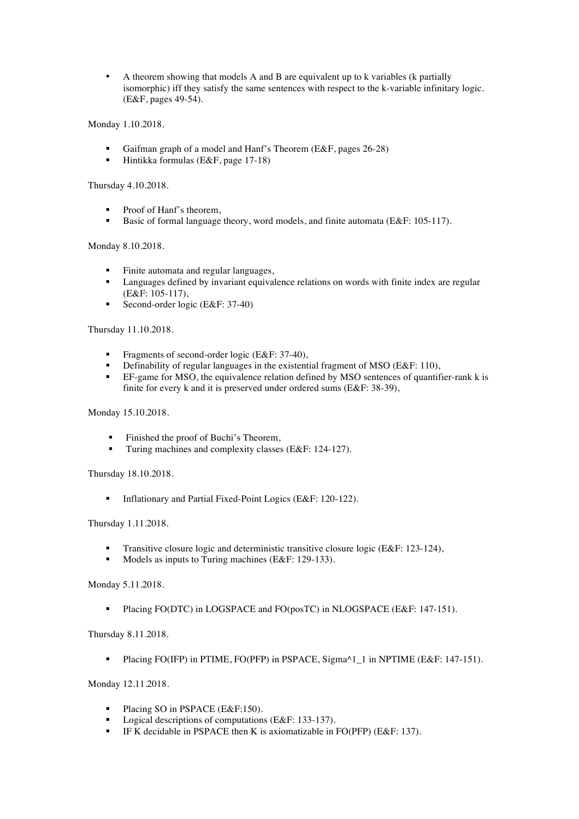• A theorem showing that models A and B are equivalent up to k variables (k partially isomorphic) iff they satisfy the same sentences with respect to the k-variable infinitary logic. (E&F, pages 49-54).

Monday 1.10.2018.

- § Gaifman graph of a model and Hanf's Theorem (E&F, pages 26-28)
- § Hintikka formulas (E&F, page 17-18)

### Thursday 4.10.2018.

- Proof of Hanf's theorem,
- Basic of formal language theory, word models, and finite automata (E&F: 105-117).

#### Monday 8.10.2018.

- § Finite automata and regular languages,
- Languages defined by invariant equivalence relations on words with finite index are regular (E&F: 105-117),
- Second-order logic (E&F: 37-40)

### Thursday 11.10.2018.

- Fragments of second-order logic (E&F: 37-40),
- Definability of regular languages in the existential fragment of MSO (E&F: 110),<br>EE game for MSO the equivalence relation defined by MSO sentences of quantif
- EF-game for MSO, the equivalence relation defined by MSO sentences of quantifier-rank k is finite for every k and it is preserved under ordered sums (E&F: 38-39),

### Monday 15.10.2018.

- Finished the proof of Buchi's Theorem,
- Turing machines and complexity classes (E&F: 124-127).

Thursday 18.10.2018.

§ Inflationary and Partial Fixed-Point Logics (E&F: 120-122).

#### Thursday 1.11.2018.

- Transitive closure logic and deterministic transitive closure logic (E&F: 123-124),
- Models as inputs to Turing machines (E&F: 129-133).

#### Monday 5.11.2018.

Placing FO(DTC) in LOGSPACE and FO(posTC) in NLOGSPACE (E&F: 147-151).

#### Thursday 8.11.2018.

Placing FO(IFP) in PTIME, FO(PFP) in PSPACE, Sigma^1\_1 in NPTIME (E&F: 147-151).

Monday 12.11.2018.

- Placing SO in PSPACE (E&F:150).
- Logical descriptions of computations (E&F: 133-137).
- § IF K decidable in PSPACE then K is axiomatizable in FO(PFP) (E&F: 137).